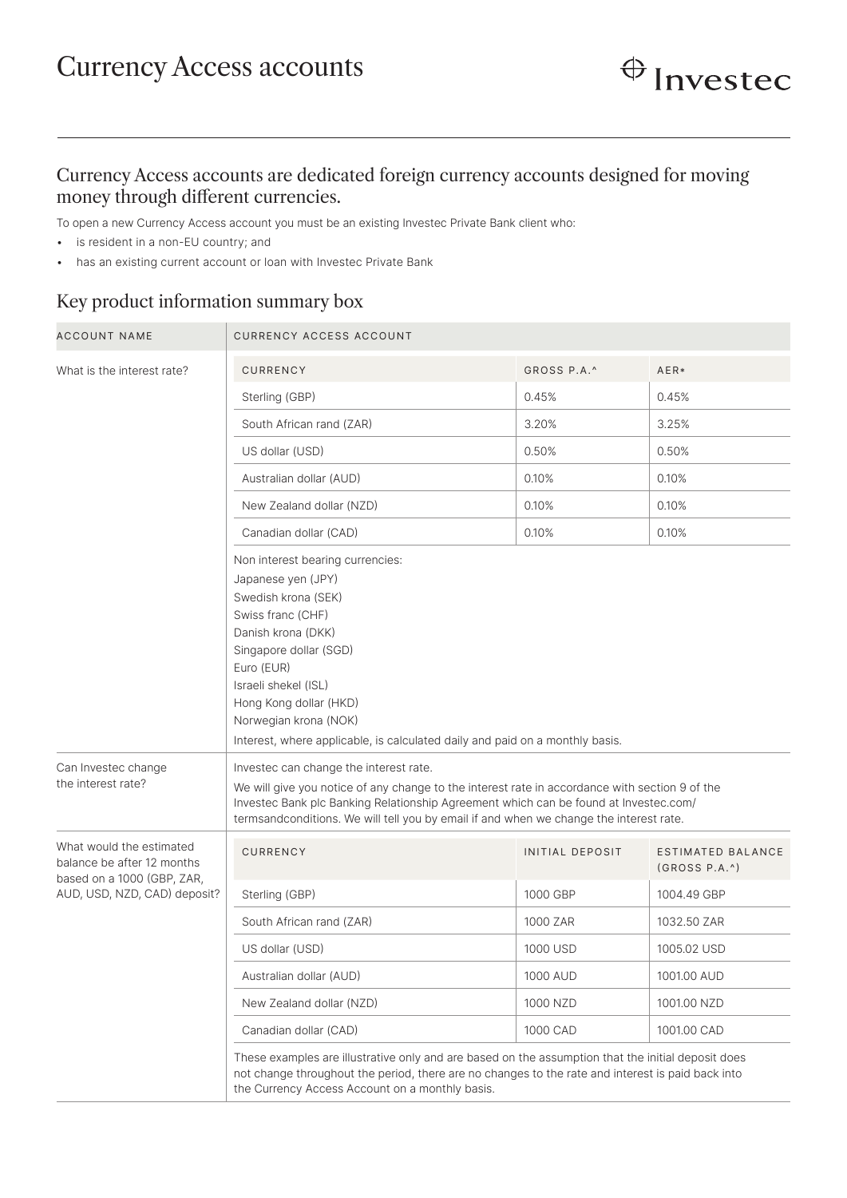## Currency Access accounts



## Currency Access accounts are dedicated foreign currency accounts designed for moving money through different currencies.

To open a new Currency Access account you must be an existing Investec Private Bank client who:

- is resident in a non-EU country; and
- has an existing current account or loan with Investec Private Bank

## Key product information summary box

| ACCOUNT NAME                                                                                                         | CURRENCY ACCESS ACCOUNT                                                                                                                                                                                                                                                                                                    |                 |                                              |
|----------------------------------------------------------------------------------------------------------------------|----------------------------------------------------------------------------------------------------------------------------------------------------------------------------------------------------------------------------------------------------------------------------------------------------------------------------|-----------------|----------------------------------------------|
| What is the interest rate?                                                                                           | CURRENCY                                                                                                                                                                                                                                                                                                                   | GROSS P.A.^     | AER*                                         |
|                                                                                                                      | Sterling (GBP)                                                                                                                                                                                                                                                                                                             | 0.45%           | 0.45%                                        |
|                                                                                                                      | South African rand (ZAR)                                                                                                                                                                                                                                                                                                   | 3.20%           | 3.25%                                        |
|                                                                                                                      | US dollar (USD)                                                                                                                                                                                                                                                                                                            | 0.50%           | 0.50%                                        |
|                                                                                                                      | Australian dollar (AUD)                                                                                                                                                                                                                                                                                                    | 0.10%           | 0.10%                                        |
|                                                                                                                      | New Zealand dollar (NZD)                                                                                                                                                                                                                                                                                                   | 0.10%           | 0.10%                                        |
|                                                                                                                      | Canadian dollar (CAD)                                                                                                                                                                                                                                                                                                      | 0.10%           | 0.10%                                        |
|                                                                                                                      | Japanese yen (JPY)<br>Swedish krona (SEK)<br>Swiss franc (CHF)<br>Danish krona (DKK)<br>Singapore dollar (SGD)<br>Euro (EUR)<br>Israeli shekel (ISL)<br>Hong Kong dollar (HKD)<br>Norwegian krona (NOK)<br>Interest, where applicable, is calculated daily and paid on a monthly basis.                                    |                 |                                              |
| Can Investec change<br>the interest rate?                                                                            | Investec can change the interest rate.<br>We will give you notice of any change to the interest rate in accordance with section 9 of the<br>Investec Bank plc Banking Relationship Agreement which can be found at Investec.com/<br>termsandconditions. We will tell you by email if and when we change the interest rate. |                 |                                              |
| What would the estimated<br>balance be after 12 months<br>based on a 1000 (GBP, ZAR,<br>AUD, USD, NZD, CAD) deposit? | CURRENCY                                                                                                                                                                                                                                                                                                                   | INITIAL DEPOSIT | ESTIMATED BALANCE<br>$(GROSS P.A.^{\wedge})$ |
|                                                                                                                      | Sterling (GBP)                                                                                                                                                                                                                                                                                                             | 1000 GBP        | 1004.49 GBP                                  |
|                                                                                                                      | South African rand (ZAR)                                                                                                                                                                                                                                                                                                   | 1000 ZAR        | 1032.50 ZAR                                  |
|                                                                                                                      | US dollar (USD)                                                                                                                                                                                                                                                                                                            | 1000 USD        | 1005.02 USD                                  |
|                                                                                                                      | Australian dollar (AUD)                                                                                                                                                                                                                                                                                                    | 1000 AUD        | 1001.00 AUD                                  |
|                                                                                                                      | New Zealand dollar (NZD)                                                                                                                                                                                                                                                                                                   | 1000 NZD        | 1001.00 NZD                                  |
|                                                                                                                      | Canadian dollar (CAD)                                                                                                                                                                                                                                                                                                      | 1000 CAD        | 1001.00 CAD                                  |
|                                                                                                                      | These examples are illustrative only and are based on the assumption that the initial deposit does<br>not change throughout the period, there are no changes to the rate and interest is paid back into<br>the Currency Access Account on a monthly basis.                                                                 |                 |                                              |